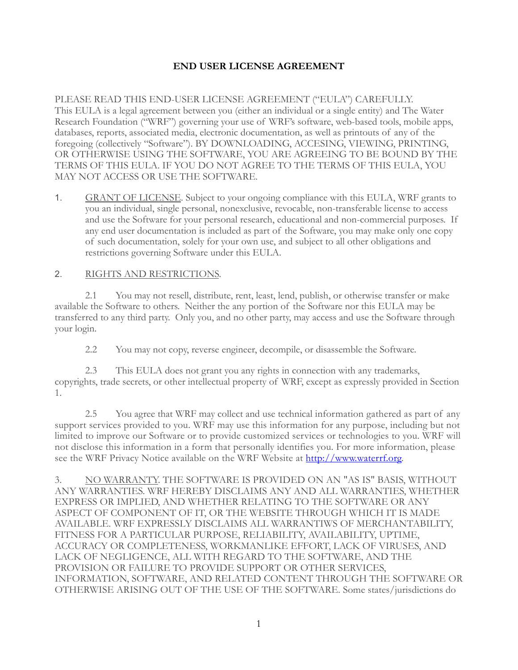## **END USER LICENSE AGREEMENT**

PLEASE READ THIS END-USER LICENSE AGREEMENT ("EULA") CAREFULLY. This EULA is a legal agreement between you (either an individual or a single entity) and The Water Research Foundation ("WRF") governing your use of WRF's software, web-based tools, mobile apps, databases, reports, associated media, electronic documentation, as well as printouts of any of the foregoing (collectively "Software"). BY DOWNLOADING, ACCESING, VIEWING, PRINTING, OR OTHERWISE USING THE SOFTWARE, YOU ARE AGREEING TO BE BOUND BY THE TERMS OF THIS EULA. IF YOU DO NOT AGREE TO THE TERMS OF THIS EULA, YOU MAY NOT ACCESS OR USE THE SOFTWARE.

1. GRANT OF LICENSE. Subject to your ongoing compliance with this EULA, WRF grants to you an individual, single personal, nonexclusive, revocable, non-transferable license to access and use the Software for your personal research, educational and non-commercial purposes. If any end user documentation is included as part of the Software, you may make only one copy of such documentation, solely for your own use, and subject to all other obligations and restrictions governing Software under this EULA.

## 2. RIGHTS AND RESTRICTIONS.

2.1 You may not resell, distribute, rent, least, lend, publish, or otherwise transfer or make available the Software to others. Neither the any portion of the Software nor this EULA may be transferred to any third party. Only you, and no other party, may access and use the Software through your login.

2.2 You may not copy, reverse engineer, decompile, or disassemble the Software.

2.3 This EULA does not grant you any rights in connection with any trademarks, copyrights, trade secrets, or other intellectual property of WRF, except as expressly provided in Section 1.

2.5 You agree that WRF may collect and use technical information gathered as part of any support services provided to you. WRF may use this information for any purpose, including but not limited to improve our Software or to provide customized services or technologies to you. WRF will not disclose this information in a form that personally identifies you. For more information, please see the WRF Privacy Notice available on the WRF Website at [http://www.waterrf.org.](http://www.waterrf.org)

3. NO WARRANTY. THE SOFTWARE IS PROVIDED ON AN "AS IS" BASIS, WITHOUT ANY WARRANTIES. WRF HEREBY DISCLAIMS ANY AND ALL WARRANTIES, WHETHER EXPRESS OR IMPLIED, AND WHETHER RELATING TO THE SOFTWARE OR ANY ASPECT OF COMPONENT OF IT, OR THE WEBSITE THROUGH WHICH IT IS MADE AVAILABLE. WRF EXPRESSLY DISCLAIMS ALL WARRANTIWS OF MERCHANTABILITY, FITNESS FOR A PARTICULAR PURPOSE, RELIABILITY, AVAILABILITY, UPTIME, ACCURACY OR COMPLETENESS, WORKMANLIKE EFFORT, LACK OF VIRUSES, AND LACK OF NEGLIGENCE, ALL WITH REGARD TO THE SOFTWARE, AND THE PROVISION OR FAILURE TO PROVIDE SUPPORT OR OTHER SERVICES, INFORMATION, SOFTWARE, AND RELATED CONTENT THROUGH THE SOFTWARE OR OTHERWISE ARISING OUT OF THE USE OF THE SOFTWARE. Some states/jurisdictions do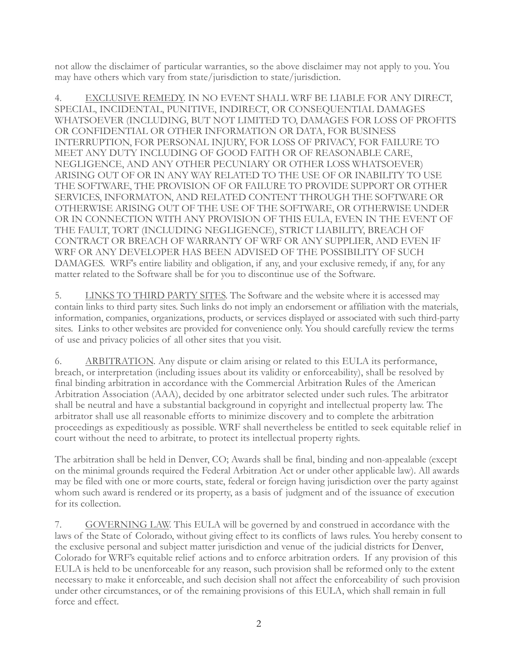not allow the disclaimer of particular warranties, so the above disclaimer may not apply to you. You may have others which vary from state/jurisdiction to state/jurisdiction.

4. EXCLUSIVE REMEDY. IN NO EVENT SHALL WRF BE LIABLE FOR ANY DIRECT, SPECIAL, INCIDENTAL, PUNITIVE, INDIRECT, OR CONSEQUENTIAL DAMAGES WHATSOEVER (INCLUDING, BUT NOT LIMITED TO, DAMAGES FOR LOSS OF PROFITS OR CONFIDENTIAL OR OTHER INFORMATION OR DATA, FOR BUSINESS INTERRUPTION, FOR PERSONAL INJURY, FOR LOSS OF PRIVACY, FOR FAILURE TO MEET ANY DUTY INCLUDING OF GOOD FAITH OR OF REASONABLE CARE, NEGLIGENCE, AND ANY OTHER PECUNIARY OR OTHER LOSS WHATSOEVER) ARISING OUT OF OR IN ANY WAY RELATED TO THE USE OF OR INABILITY TO USE THE SOFTWARE, THE PROVISION OF OR FAILURE TO PROVIDE SUPPORT OR OTHER SERVICES, INFORMATON, AND RELATED CONTENT THROUGH THE SOFTWARE OR OTHERWISE ARISING OUT OF THE USE OF THE SOFTWARE, OR OTHERWISE UNDER OR IN CONNECTION WITH ANY PROVISION OF THIS EULA, EVEN IN THE EVENT OF THE FAULT, TORT (INCLUDING NEGLIGENCE), STRICT LIABILITY, BREACH OF CONTRACT OR BREACH OF WARRANTY OF WRF OR ANY SUPPLIER, AND EVEN IF WRF OR ANY DEVELOPER HAS BEEN ADVISED OF THE POSSIBILITY OF SUCH DAMAGES. WRF's entire liability and obligation, if any, and your exclusive remedy, if any, for any matter related to the Software shall be for you to discontinue use of the Software.

5. LINKS TO THIRD PARTY SITES. The Software and the website where it is accessed may contain links to third party sites. Such links do not imply an endorsement or affiliation with the materials, information, companies, organizations, products, or services displayed or associated with such third-party sites. Links to other websites are provided for convenience only. You should carefully review the terms of use and privacy policies of all other sites that you visit.

6. ARBITRATION. Any dispute or claim arising or related to this EULA its performance, breach, or interpretation (including issues about its validity or enforceability), shall be resolved by final binding arbitration in accordance with the Commercial Arbitration Rules of the American Arbitration Association (AAA), decided by one arbitrator selected under such rules. The arbitrator shall be neutral and have a substantial background in copyright and intellectual property law. The arbitrator shall use all reasonable efforts to minimize discovery and to complete the arbitration proceedings as expeditiously as possible. WRF shall nevertheless be entitled to seek equitable relief in court without the need to arbitrate, to protect its intellectual property rights.

The arbitration shall be held in Denver, CO; Awards shall be final, binding and non-appealable (except on the minimal grounds required the Federal Arbitration Act or under other applicable law). All awards may be filed with one or more courts, state, federal or foreign having jurisdiction over the party against whom such award is rendered or its property, as a basis of judgment and of the issuance of execution for its collection.

7. GOVERNING LAW. This EULA will be governed by and construed in accordance with the laws of the State of Colorado, without giving effect to its conflicts of laws rules. You hereby consent to the exclusive personal and subject matter jurisdiction and venue of the judicial districts for Denver, Colorado for WRF's equitable relief actions and to enforce arbitration orders. If any provision of this EULA is held to be unenforceable for any reason, such provision shall be reformed only to the extent necessary to make it enforceable, and such decision shall not affect the enforceability of such provision under other circumstances, or of the remaining provisions of this EULA, which shall remain in full force and effect.